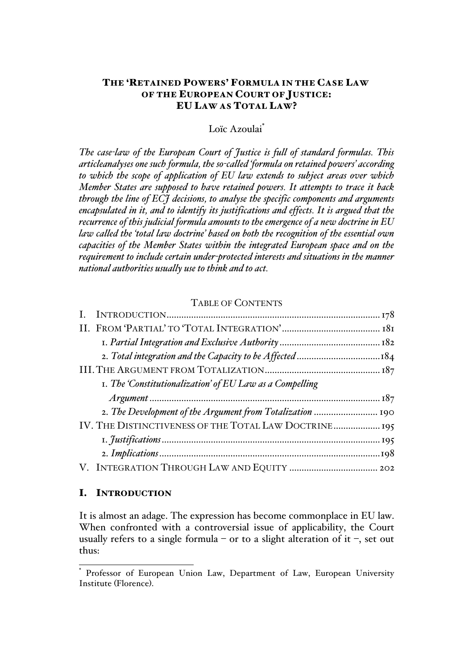# THE 'RETAINED POWERS' FORMULA IN THE CASE LAW OF THE EUROPEAN COURT OF JUSTICE: EU LAW AS TOTAL LAW?

## Loïc Azoulai\*

*The case-law of the European Court of Justice is full of standard formulas. This articleanalyses one such formula, the so-called 'formula on retained powers' according to which the scope of application of EU law extends to subject areas over which Member States are supposed to have retained powers. It attempts to trace it back through the line of ECJ decisions, to analyse the specific components and arguments encapsulated in it, and to identify its justifications and effects. It is argued that the recurrence of this judicial formula amounts to the emergence of a new doctrine in EU law called the 'total law doctrine' based on both the recognition of the essential own capacities of the Member States within the integrated European space and on the requirement to include certain under-protected interests and situations in the manner national authorities usually use to think and to act.*

# TABLE OF CONTENTS

| I. The 'Constitutionalization' of EU Law as a Compelling  |  |
|-----------------------------------------------------------|--|
|                                                           |  |
| 2. The Development of the Argument from Totalization  190 |  |
| IV. THE DISTINCTIVENESS OF THE TOTAL LAW DOCTRINE 195     |  |
|                                                           |  |
|                                                           |  |
|                                                           |  |

#### I. INTRODUCTION

It is almost an adage. The expression has become commonplace in EU law. When confronted with a controversial issue of applicability, the Court usually refers to a single formula – or to a slight alteration of it –, set out thus:

Professor of European Union Law, Department of Law, European University Institute (Florence).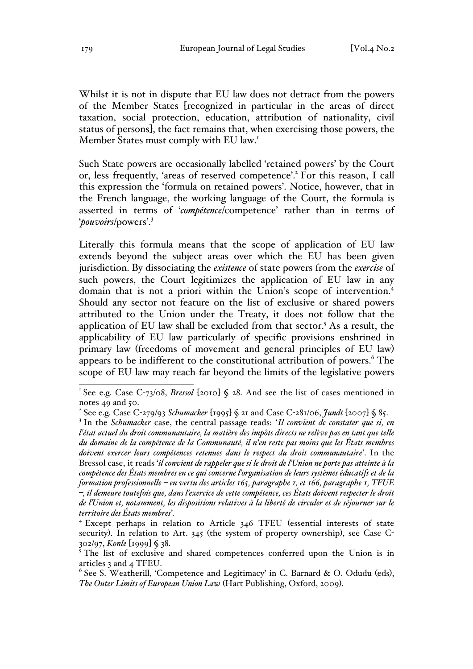Whilst it is not in dispute that EU law does not detract from the powers of the Member States [recognized in particular in the areas of direct taxation, social protection, education, attribution of nationality, civil status of persons], the fact remains that, when exercising those powers, the Member States must comply with EU law.<sup>1</sup>

Such State powers are occasionally labelled 'retained powers' by the Court or, less frequently, 'areas of reserved competence'.2 For this reason, I call this expression the 'formula on retained powers'. Notice, however, that in the French language, the working language of the Court, the formula is asserted in terms of '*compétence*/competence' rather than in terms of '*pouvoirs*/powers'.<sup>3</sup>

Literally this formula means that the scope of application of EU law extends beyond the subject areas over which the EU has been given jurisdiction. By dissociating the *existence* of state powers from the *exercise* of such powers, the Court legitimizes the application of EU law in any domain that is not a priori within the Union's scope of intervention.4 Should any sector not feature on the list of exclusive or shared powers attributed to the Union under the Treaty, it does not follow that the application of EU law shall be excluded from that sector.<sup>5</sup> As a result, the applicability of EU law particularly of specific provisions enshrined in primary law (freedoms of movement and general principles of EU law) appears to be indifferent to the constitutional attribution of powers.<sup>6</sup> The scope of EU law may reach far beyond the limits of the legislative powers

<sup>&</sup>lt;sup>1</sup> See e.g. Case C-73/08, *Bressol* [2010]  $\zeta$  28. And see the list of cases mentioned in notes  $49$  and  $50$ .

<sup>2</sup> See e.g. Case C-279/93 *Schumacker* [1995] § 21 and Case C-281/06, *Jundt* [2007] § 85.

<sup>3</sup> In the *Schumacker* case, the central passage reads: '*Il convient de constater que si, en l'état actuel du droit communautaire, la matière des impôts directs ne relève pas en tant que telle du domaine de la compétence de la Communauté, il n'en reste pas moins que les États membres doivent exercer leurs compétences retenues dans le respect du droit communautaire*'. In the Bressol case, it reads '*il convient de rappeler que si le droit de l'Union ne porte pas atteinte à la compétence des États membres en ce qui concerne l'organisation de leurs systèmes éducatifs et de la formation professionnelle – en vertu des articles 165, paragraphe 1, et 166, paragraphe 1, TFUE –, il demeure toutefois que, dans l'exercice de cette compétence, ces États doivent respecter le droit de l'Union et, notamment, les dispositions relatives à la liberté de circuler et de séjourner sur le territoire des États membres*'*.* <sup>4</sup> Except perhaps in relation to Article 346 TFEU (essential interests of state

security). In relation to Art. 345 (the system of property ownership), see Case C-302/97, *Konle* [1999] § 38.

<sup>&</sup>lt;sup>5</sup> The list of exclusive and shared competences conferred upon the Union is in articles 3 and 4 TFEU.

<sup>&</sup>lt;sup>6</sup> See S. Weatherill, 'Competence and Legitimacy' in C. Barnard & O. Odudu (eds), *The Outer Limits of European Union Law* (Hart Publishing, Oxford, 2009).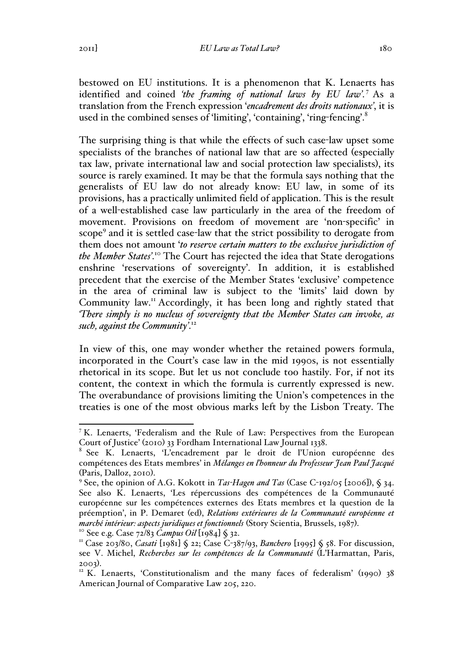bestowed on EU institutions. It is a phenomenon that K. Lenaerts has identified and coined *'the framing of national laws by EU law'*. <sup>7</sup> As a translation from the French expression '*encadrement des droits nationaux'*, it is used in the combined senses of 'limiting', 'containing', 'ring-fencing'.<sup>8</sup>

The surprising thing is that while the effects of such case-law upset some specialists of the branches of national law that are so affected (especially tax law, private international law and social protection law specialists), its source is rarely examined. It may be that the formula says nothing that the generalists of EU law do not already know: EU law, in some of its provisions, has a practically unlimited field of application. This is the result of a well-established case law particularly in the area of the freedom of movement. Provisions on freedom of movement are 'non-specific' in scope<sup>9</sup> and it is settled case-law that the strict possibility to derogate from them does not amount '*to reserve certain matters to the exclusive jurisdiction of the Member States'*. <sup>10</sup> The Court has rejected the idea that State derogations enshrine 'reservations of sovereignty'. In addition, it is established precedent that the exercise of the Member States 'exclusive' competence in the area of criminal law is subject to the 'limits' laid down by Community law.<sup>11</sup> Accordingly, it has been long and rightly stated that *'There simply is no nucleus of sovereignty that the Member States can invoke, as such, against the Community'*. 12

In view of this, one may wonder whether the retained powers formula, incorporated in the Court's case law in the mid 1990s, is not essentially rhetorical in its scope. But let us not conclude too hastily. For, if not its content, the context in which the formula is currently expressed is new. The overabundance of provisions limiting the Union's competences in the treaties is one of the most obvious marks left by the Lisbon Treaty. The

 <sup>7</sup> K. Lenaerts, 'Federalism and the Rule of Law: Perspectives from the European Court of Justice' (2010) 33 Fordham International Law Journal 1338.

<sup>8</sup> See K. Lenaerts, 'L'encadrement par le droit de l'Union européenne des compétences des Etats membres' in *Mélanges en l'honneur du Professeur Jean Paul Jacqué* (Paris, Dalloz, 2010). <sup>9</sup> See, the opinion of A.G. Kokott in *Tas-Hagen and Tas* (Case C-192/05 [2006]), § 34.

See also K. Lenaerts, 'Les répercussions des compétences de la Communauté européenne sur les compétences externes des Etats membres et la question de la préemption', in P. Demaret (ed), *Relations extérieures de la Communauté européenne et*  marché intérieur: aspects juridiques et fonctionnels (Story Scientia, Brussels, 1987).<br><sup>10</sup> See e.g. Case 72/83 *Campus Oil* [1984] § 32.<br><sup>11</sup> Case 203/80, *Casati* [1981] § 22; Case C-387/93, *Banchero* [1995] § 58. For d

see V. Michel, *Recherches sur les compétences de la Communauté* (L'Harmattan, Paris,

<sup>2003).&</sup>lt;br><sup>12</sup> K. Lenaerts, 'Constitutionalism and the many faces of federalism' (1990) 38 American Journal of Comparative Law 205, 220.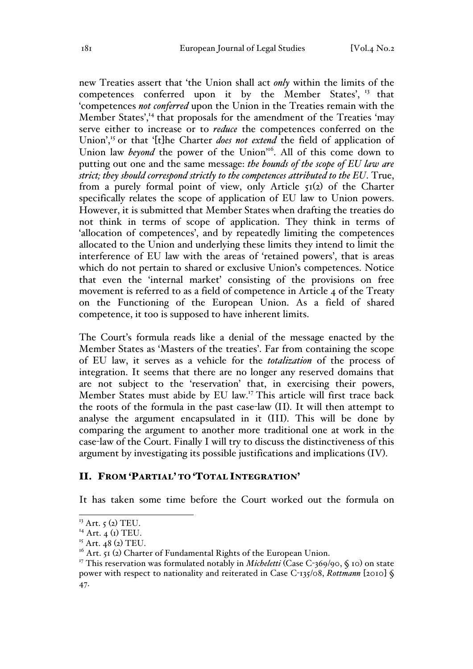new Treaties assert that 'the Union shall act *only* within the limits of the competences conferred upon it by the Member States', <sup>13</sup> that 'competences *not conferred* upon the Union in the Treaties remain with the Member States',<sup>14</sup> that proposals for the amendment of the Treaties 'may serve either to increase or to *reduce* the competences conferred on the Union',<sup>15</sup> or that '[t]he Charter *does not extend* the field of application of Union law *beyond* the power of the Union<sup>116</sup>. All of this come down to putting out one and the same message: *the bounds of the scope of EU law are strict; they should correspond strictly to the competences attributed to the EU*. True, from a purely formal point of view, only Article  $\zeta_1(z)$  of the Charter specifically relates the scope of application of EU law to Union powers. However, it is submitted that Member States when drafting the treaties do not think in terms of scope of application. They think in terms of 'allocation of competences', and by repeatedly limiting the competences allocated to the Union and underlying these limits they intend to limit the interference of EU law with the areas of 'retained powers', that is areas which do not pertain to shared or exclusive Union's competences. Notice that even the 'internal market' consisting of the provisions on free movement is referred to as a field of competence in Article 4 of the Treaty on the Functioning of the European Union. As a field of shared competence, it too is supposed to have inherent limits.

The Court's formula reads like a denial of the message enacted by the Member States as 'Masters of the treaties'. Far from containing the scope of EU law, it serves as a vehicle for the *totalization* of the process of integration. It seems that there are no longer any reserved domains that are not subject to the 'reservation' that, in exercising their powers, Member States must abide by EU law.<sup>17</sup> This article will first trace back the roots of the formula in the past case-law (II). It will then attempt to analyse the argument encapsulated in it (III). This will be done by comparing the argument to another more traditional one at work in the case-law of the Court. Finally I will try to discuss the distinctiveness of this argument by investigating its possible justifications and implications (IV).

## II. FROM 'PARTIAL' TO 'TOTAL INTEGRATION'

It has taken some time before the Court worked out the formula on

 $13$  Art.  $5$  (2) TEU.

 $14$  Art. 4 (I) TEU.

 $15$  Art. 48 (2) TEU.

 $^{16}$  Art. 51 (2) Charter of Fundamental Rights of the European Union.

<sup>&</sup>lt;sup>17</sup> This reservation was formulated notably in *Micheletti* (Case C-369/90, § 10) on state power with respect to nationality and reiterated in Case C-135/08, *Rottmann* [2010] § 47.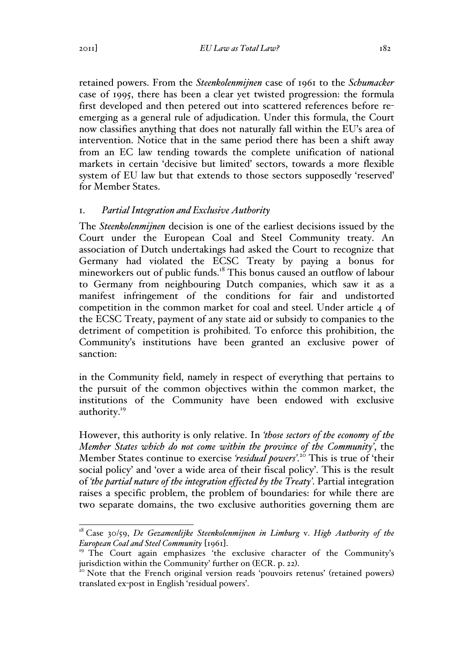retained powers. From the *Steenkolenmijnen* case of 1961 to the *Schumacker* case of 1995, there has been a clear yet twisted progression: the formula first developed and then petered out into scattered references before reemerging as a general rule of adjudication. Under this formula, the Court now classifies anything that does not naturally fall within the EU's area of intervention. Notice that in the same period there has been a shift away from an EC law tending towards the complete unification of national markets in certain 'decisive but limited' sectors, towards a more flexible system of EU law but that extends to those sectors supposedly 'reserved' for Member States.

## 1. *Partial Integration and Exclusive Authority*

The *Steenkolenmijnen* decision is one of the earliest decisions issued by the Court under the European Coal and Steel Community treaty. An association of Dutch undertakings had asked the Court to recognize that Germany had violated the ECSC Treaty by paying a bonus for mineworkers out of public funds.<sup>18</sup> This bonus caused an outflow of labour to Germany from neighbouring Dutch companies, which saw it as a manifest infringement of the conditions for fair and undistorted competition in the common market for coal and steel. Under article 4 of the ECSC Treaty, payment of any state aid or subsidy to companies to the detriment of competition is prohibited. To enforce this prohibition, the Community's institutions have been granted an exclusive power of sanction:

in the Community field, namely in respect of everything that pertains to the pursuit of the common objectives within the common market, the institutions of the Community have been endowed with exclusive authority.<sup>19</sup>

However, this authority is only relative. In *'those sectors of the economy of the Member States which do not come within the province of the Community'*, the Member States continue to exercise *'residual powers'*. <sup>20</sup> This is true of 'their social policy' and 'over a wide area of their fiscal policy'. This is the result of *'the partial nature of the integration effected by the Treaty'*. Partial integration raises a specific problem, the problem of boundaries: for while there are two separate domains, the two exclusive authorities governing them are

 <sup>18</sup> Case 30/59, *De Gezamenlijke Steenkolenmijnen in Limburg* v. *High Authority of the European Coal and Steel Community* [1961].<br><sup>19</sup> The Court again emphasizes 'the exclusive character of the Community's

jurisdiction within the Community' further on (ECR. p. 22).<br><sup>20</sup> Note that the French original version reads 'pouvoirs retenus' (retained powers)

translated ex-post in English 'residual powers'.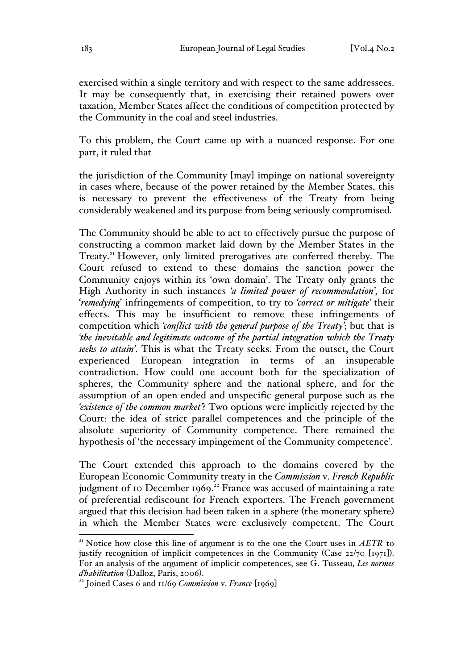exercised within a single territory and with respect to the same addressees. It may be consequently that, in exercising their retained powers over taxation, Member States affect the conditions of competition protected by the Community in the coal and steel industries.

To this problem, the Court came up with a nuanced response. For one part, it ruled that

the jurisdiction of the Community [may] impinge on national sovereignty in cases where, because of the power retained by the Member States, this is necessary to prevent the effectiveness of the Treaty from being considerably weakened and its purpose from being seriously compromised.

The Community should be able to act to effectively pursue the purpose of constructing a common market laid down by the Member States in the Treaty.<sup>21</sup> However, only limited prerogatives are conferred thereby. The Court refused to extend to these domains the sanction power the Community enjoys within its 'own domain'. The Treaty only grants the High Authority in such instances *'a limited power of recommendation'*, for '*remedying*' infringements of competition, to try to *'correct or mitigate'* their effects. This may be insufficient to remove these infringements of competition which *'conflict with the general purpose of the Treaty'*; but that is *'the inevitable and legitimate outcome of the partial integration which the Treaty seeks to attain'*. This is what the Treaty seeks. From the outset, the Court experienced European integration in terms of an insuperable contradiction. How could one account both for the specialization of spheres, the Community sphere and the national sphere, and for the assumption of an open-ended and unspecific general purpose such as the *'existence of the common market'*? Two options were implicitly rejected by the Court: the idea of strict parallel competences and the principle of the absolute superiority of Community competence. There remained the hypothesis of 'the necessary impingement of the Community competence'.

The Court extended this approach to the domains covered by the European Economic Community treaty in the *Commission* v. *French Republic*  judgment of 10 December 1969.<sup>22</sup> France was accused of maintaining a rate of preferential rediscount for French exporters. The French government argued that this decision had been taken in a sphere (the monetary sphere) in which the Member States were exclusively competent. The Court

<sup>&</sup>lt;sup>21</sup> Notice how close this line of argument is to the one the Court uses in  $AETR$  to justify recognition of implicit competences in the Community (Case 22/70 [1971]). For an analysis of the argument of implicit competences, see G. Tusseau, *Les normes d'habilitation* (Dalloz, Paris, 2006). <sup>22</sup> Joined Cases 6 and 11/69 *Commission* v. *France* [1969]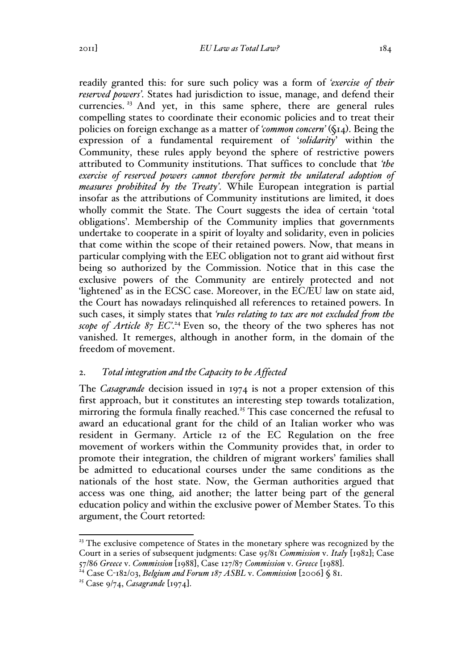readily granted this: for sure such policy was a form of *'exercise of their reserved powers'*. States had jurisdiction to issue, manage, and defend their currencies.<sup>23</sup> And yet, in this same sphere, there are general rules compelling states to coordinate their economic policies and to treat their policies on foreign exchange as a matter of *'common concern'* (§14). Being the expression of a fundamental requirement of '*solidarity*' within the Community, these rules apply beyond the sphere of restrictive powers attributed to Community institutions. That suffices to conclude that *'the exercise of reserved powers cannot therefore permit the unilateral adoption of measures prohibited by the Treaty'*. While European integration is partial insofar as the attributions of Community institutions are limited, it does wholly commit the State. The Court suggests the idea of certain 'total obligations'. Membership of the Community implies that governments undertake to cooperate in a spirit of loyalty and solidarity, even in policies that come within the scope of their retained powers. Now, that means in particular complying with the EEC obligation not to grant aid without first being so authorized by the Commission. Notice that in this case the exclusive powers of the Community are entirely protected and not 'lightened' as in the ECSC case. Moreover, in the EC/EU law on state aid, the Court has nowadays relinquished all references to retained powers. In such cases, it simply states that *'rules relating to tax are not excluded from the*  scope of Article 87 EC<sup>'</sup>.<sup>24</sup> Even so, the theory of the two spheres has not vanished. It remerges, although in another form, in the domain of the freedom of movement.

#### 2. *Total integration and the Capacity to be Affected*

The *Casagrande* decision issued in 1974 is not a proper extension of this first approach, but it constitutes an interesting step towards totalization, mirroring the formula finally reached.<sup>25</sup> This case concerned the refusal to award an educational grant for the child of an Italian worker who was resident in Germany. Article 12 of the EC Regulation on the free movement of workers within the Community provides that, in order to promote their integration, the children of migrant workers' families shall be admitted to educational courses under the same conditions as the nationals of the host state. Now, the German authorities argued that access was one thing, aid another; the latter being part of the general education policy and within the exclusive power of Member States. To this argument, the Court retorted:

 $23$ <sup>23</sup> The exclusive competence of States in the monetary sphere was recognized by the Court in a series of subsequent judgments: Case 95/81 *Commission* v. *Italy* [1982]; Case

<sup>57/86</sup> *Greece* v. *Commission* [1988], Case 127/87 *Commission* v. *Greece* [1988]. <sup>24</sup> Case C-182/03, *Belgium and Forum 187 ASBL* v. *Commission* [2006] § 81.

<sup>25</sup> Case 9/74, *Casagrande* [1974].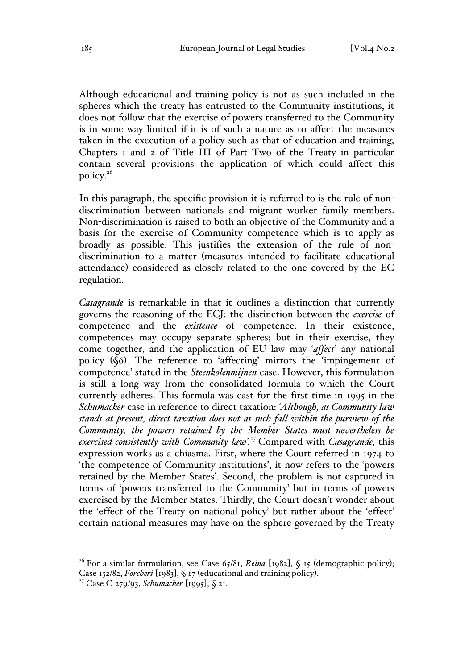Although educational and training policy is not as such included in the spheres which the treaty has entrusted to the Community institutions, it does not follow that the exercise of powers transferred to the Community is in some way limited if it is of such a nature as to affect the measures taken in the execution of a policy such as that of education and training; Chapters 1 and 2 of Title III of Part Two of the Treaty in particular contain several provisions the application of which could affect this policy.26

In this paragraph, the specific provision it is referred to is the rule of nondiscrimination between nationals and migrant worker family members. Non-discrimination is raised to both an objective of the Community and a basis for the exercise of Community competence which is to apply as broadly as possible. This justifies the extension of the rule of nondiscrimination to a matter (measures intended to facilitate educational attendance) considered as closely related to the one covered by the EC regulation.

*Casagrande* is remarkable in that it outlines a distinction that currently governs the reasoning of the ECJ: the distinction between the *exercise* of competence and the *existence* of competence. In their existence, competences may occupy separate spheres; but in their exercise, they come together, and the application of EU law may '*affect*' any national policy (§6). The reference to 'affecting' mirrors the 'impingement of competence' stated in the *Steenkolenmijnen* case. However, this formulation is still a long way from the consolidated formula to which the Court currently adheres. This formula was cast for the first time in 1995 in the *Schumacker* case in reference to direct taxation: *'Although, as Community law stands at present, direct taxation does not as such fall within the purview of the Community, the powers retained by the Member States must nevertheless be exercised consistently with Community law'.*<sup>27</sup> Compared with *Casagrande,* this expression works as a chiasma. First, where the Court referred in 1974 to 'the competence of Community institutions', it now refers to the 'powers retained by the Member States'. Second, the problem is not captured in terms of 'powers transferred to the Community' but in terms of powers exercised by the Member States. Thirdly, the Court doesn't wonder about the 'effect of the Treaty on national policy' but rather about the 'effect' certain national measures may have on the sphere governed by the Treaty

<sup>&</sup>lt;sup>26</sup> For a similar formulation, see Case  $65/8$ I, *Reina* [1982], § 15 (demographic policy);

Case 152/82, *Forcheri* [1983], § 17 (educational and training policy). <sup>27</sup> Case C-279/93, *Schumacker* [1995], § 21.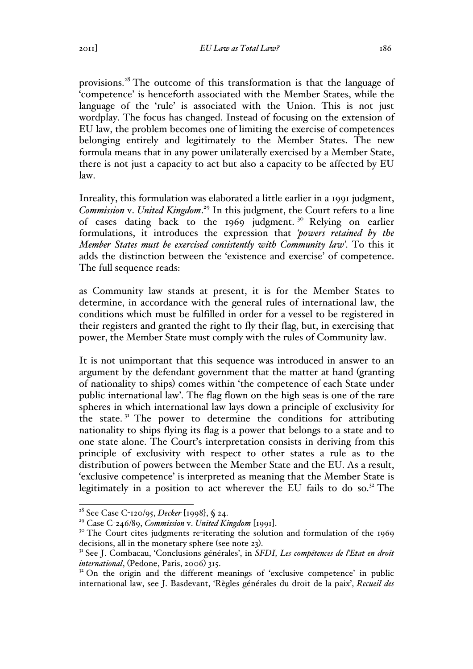provisions.<sup>28</sup> The outcome of this transformation is that the language of 'competence' is henceforth associated with the Member States, while the language of the 'rule' is associated with the Union. This is not just wordplay. The focus has changed. Instead of focusing on the extension of EU law, the problem becomes one of limiting the exercise of competences belonging entirely and legitimately to the Member States. The new formula means that in any power unilaterally exercised by a Member State, there is not just a capacity to act but also a capacity to be affected by EU law.

Inreality, this formulation was elaborated a little earlier in a 1991 judgment, *Commission* v. *United Kingdom*. <sup>29</sup> In this judgment, the Court refers to a line of cases dating back to the 1969 judgment. <sup>30</sup> Relying on earlier formulations, it introduces the expression that *'powers retained by the Member States must be exercised consistently with Community law'*. To this it adds the distinction between the 'existence and exercise' of competence. The full sequence reads:

as Community law stands at present, it is for the Member States to determine, in accordance with the general rules of international law, the conditions which must be fulfilled in order for a vessel to be registered in their registers and granted the right to fly their flag, but, in exercising that power, the Member State must comply with the rules of Community law.

It is not unimportant that this sequence was introduced in answer to an argument by the defendant government that the matter at hand (granting of nationality to ships) comes within 'the competence of each State under public international law'. The flag flown on the high seas is one of the rare spheres in which international law lays down a principle of exclusivity for the state.<sup>31</sup> The power to determine the conditions for attributing nationality to ships flying its flag is a power that belongs to a state and to one state alone. The Court's interpretation consists in deriving from this principle of exclusivity with respect to other states a rule as to the distribution of powers between the Member State and the EU. As a result, 'exclusive competence' is interpreted as meaning that the Member State is legitimately in a position to act wherever the EU fails to do so. $32$  The

 <sup>28</sup> See Case C-120/95, *Decker* [1998], § 24.

<sup>&</sup>lt;sup>29</sup> Case C-246/89, *Commission* v. *United Kingdom* [1991].<br><sup>30</sup> The Court cites judgments re-iterating the solution and formulation of the 1969 decisions, all in the monetary sphere (see note 23).<br><sup>31</sup> See J. Combacau, 'Conclusions générales', in *SFDI*, *Les compétences de l'Etat en droit* 

*international*, (Pedone, Paris, 2006) 315.

<sup>&</sup>lt;sup>32</sup> On the origin and the different meanings of 'exclusive competence' in public international law, see J. Basdevant, 'Règles générales du droit de la paix', *Recueil des*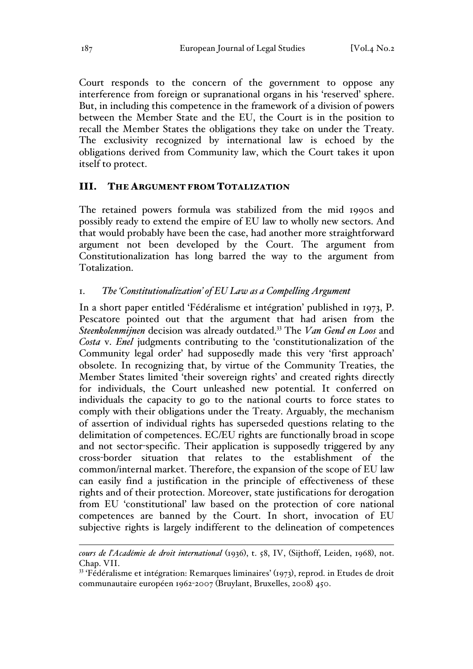Court responds to the concern of the government to oppose any interference from foreign or supranational organs in his 'reserved' sphere. But, in including this competence in the framework of a division of powers between the Member State and the EU, the Court is in the position to recall the Member States the obligations they take on under the Treaty. The exclusivity recognized by international law is echoed by the obligations derived from Community law, which the Court takes it upon itself to protect.

## III. THE ARGUMENT FROM TOTALIZATION

The retained powers formula was stabilized from the mid 1990s and possibly ready to extend the empire of EU law to wholly new sectors. And that would probably have been the case, had another more straightforward argument not been developed by the Court. The argument from Constitutionalization has long barred the way to the argument from Totalization.

## 1. *The 'Constitutionalization' of EU Law as a Compelling Argument*

In a short paper entitled 'Fédéralisme et intégration' published in 1973, P. Pescatore pointed out that the argument that had arisen from the *Steenkolenmijnen* decision was already outdated.33 The *Van Gend en Loos* and *Costa* v. *Enel* judgments contributing to the 'constitutionalization of the Community legal order' had supposedly made this very 'first approach' obsolete. In recognizing that, by virtue of the Community Treaties, the Member States limited 'their sovereign rights' and created rights directly for individuals, the Court unleashed new potential. It conferred on individuals the capacity to go to the national courts to force states to comply with their obligations under the Treaty. Arguably, the mechanism of assertion of individual rights has superseded questions relating to the delimitation of competences. EC/EU rights are functionally broad in scope and not sector-specific. Their application is supposedly triggered by any cross-border situation that relates to the establishment of the common/internal market. Therefore, the expansion of the scope of EU law can easily find a justification in the principle of effectiveness of these rights and of their protection. Moreover, state justifications for derogation from EU 'constitutional' law based on the protection of core national competences are banned by the Court. In short, invocation of EU subjective rights is largely indifferent to the delineation of competences

 $\overline{a}$ *cours de l'Académie de droit international* (1936), t. 58, IV, (Sijthoff, Leiden, 1968), not. Chap. VII.

<sup>&</sup>lt;sup>33</sup> 'Fédéralisme et intégration: Remarques liminaires' (1973), reprod. in Etudes de droit communautaire européen 1962-2007 (Bruylant, Bruxelles, 2008) 450.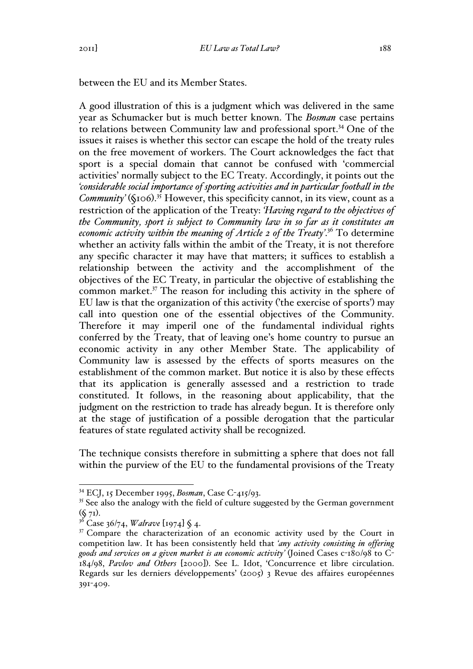between the EU and its Member States.

A good illustration of this is a judgment which was delivered in the same year as Schumacker but is much better known. The *Bosman* case pertains to relations between Community law and professional sport.<sup>34</sup> One of the issues it raises is whether this sector can escape the hold of the treaty rules on the free movement of workers. The Court acknowledges the fact that sport is a special domain that cannot be confused with 'commercial activities' normally subject to the EC Treaty. Accordingly, it points out the *'considerable social importance of sporting activities and in particular football in the Community'* (§106). <sup>35</sup> However, this specificity cannot, in its view, count as a restriction of the application of the Treaty: *'Having regard to the objectives of the Community, sport is subject to Community law in so far as it constitutes an economic activity within the meaning of Article 2 of the Treaty'*. <sup>36</sup> To determine whether an activity falls within the ambit of the Treaty, it is not therefore any specific character it may have that matters; it suffices to establish a relationship between the activity and the accomplishment of the objectives of the EC Treaty, in particular the objective of establishing the common market.37 The reason for including this activity in the sphere of EU law is that the organization of this activity ('the exercise of sports') may call into question one of the essential objectives of the Community. Therefore it may imperil one of the fundamental individual rights conferred by the Treaty, that of leaving one's home country to pursue an economic activity in any other Member State. The applicability of Community law is assessed by the effects of sports measures on the establishment of the common market. But notice it is also by these effects that its application is generally assessed and a restriction to trade constituted. It follows, in the reasoning about applicability, that the judgment on the restriction to trade has already begun. It is therefore only at the stage of justification of a possible derogation that the particular features of state regulated activity shall be recognized.

The technique consists therefore in submitting a sphere that does not fall within the purview of the EU to the fundamental provisions of the Treaty

 <sup>34</sup> ECJ, 15 December 1995, *Bosman*, Case C-415/93.

<sup>&</sup>lt;sup>35</sup> See also the analogy with the field of culture suggested by the German government

<sup>(</sup>§ 71). <sup>36</sup> Case 36/74, *Walrave* [1974] § 4.

 $37$  Compare the characterization of an economic activity used by the Court in competition law. It has been consistently held that *'any activity consisting in offering goods and services on a given market is an economic activity'* (Joined Cases c-180/98 to C-184/98, *Pavlov and Others* [2000]). See L. Idot, 'Concurrence et libre circulation. Regards sur les derniers développements' (2005) 3 Revue des affaires européennes 391-409.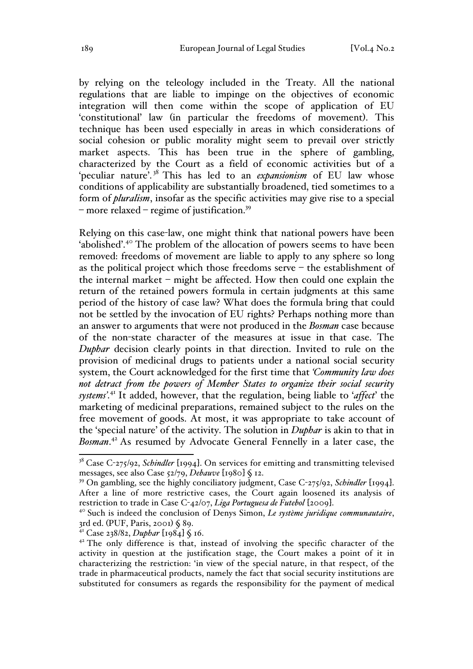by relying on the teleology included in the Treaty. All the national regulations that are liable to impinge on the objectives of economic integration will then come within the scope of application of EU 'constitutional' law (in particular the freedoms of movement). This technique has been used especially in areas in which considerations of social cohesion or public morality might seem to prevail over strictly market aspects. This has been true in the sphere of gambling, characterized by the Court as a field of economic activities but of a 'peculiar nature'. <sup>38</sup> This has led to an *expansionism* of EU law whose conditions of applicability are substantially broadened, tied sometimes to a form of *pluralism*, insofar as the specific activities may give rise to a special  $-$  more relaxed  $-$  regime of justification.<sup>39</sup>

Relying on this case-law, one might think that national powers have been 'abolished'.<sup>40</sup> The problem of the allocation of powers seems to have been removed: freedoms of movement are liable to apply to any sphere so long as the political project which those freedoms serve – the establishment of the internal market – might be affected. How then could one explain the return of the retained powers formula in certain judgments at this same period of the history of case law? What does the formula bring that could not be settled by the invocation of EU rights? Perhaps nothing more than an answer to arguments that were not produced in the *Bosman* case because of the non-state character of the measures at issue in that case. The *Duphar* decision clearly points in that direction. Invited to rule on the provision of medicinal drugs to patients under a national social security system, the Court acknowledged for the first time that *'Community law does not detract from the powers of Member States to organize their social security systems'*. <sup>41</sup> It added, however, that the regulation, being liable to '*affect*' the marketing of medicinal preparations, remained subject to the rules on the free movement of goods. At most, it was appropriate to take account of the 'special nature' of the activity. The solution in *Duphar* is akin to that in *Bosman*. <sup>42</sup> As resumed by Advocate General Fennelly in a later case, the

<sup>&</sup>lt;sup>38</sup> Case C-275/92, *Schindler* [1994]. On services for emitting and transmitting televised messages, see also Case 52/79, *Debauve* [1980] § 12.

<sup>39</sup> On gambling, see the highly conciliatory judgment, Case C-275/92, *Schindler* [1994]. After a line of more restrictive cases, the Court again loosened its analysis of restriction to trade in Case  $C$ - $\frac{42}{2}, \text{ } \text{ } \text{ }$  Liga Portuguesa de Futebol [2009].

<sup>&</sup>lt;sup>4°</sup> Such is indeed the conclusion of Denys Simon, *Le système juridique communautaire*, 3rd ed. (PUF, Paris, 2001) § 89.

<sup>41</sup> Case 238/82, *Duphar* [1984] § 16.

 $42$ <sup>42</sup> The only difference is that, instead of involving the specific character of the activity in question at the justification stage, the Court makes a point of it in characterizing the restriction: 'in view of the special nature, in that respect, of the trade in pharmaceutical products, namely the fact that social security institutions are substituted for consumers as regards the responsibility for the payment of medical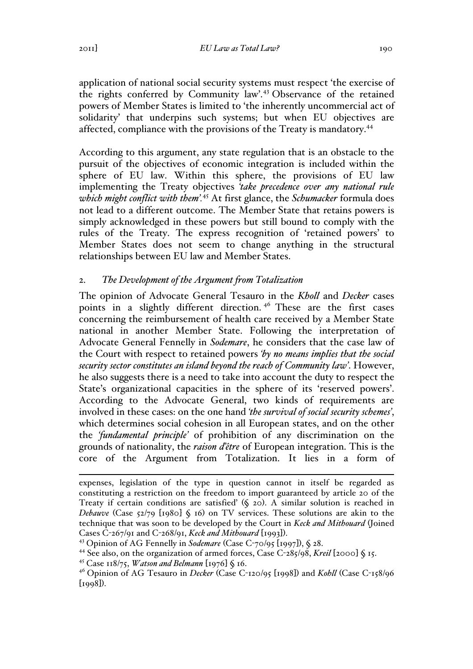application of national social security systems must respect 'the exercise of the rights conferred by Community law'.<sup>43</sup> Observance of the retained powers of Member States is limited to 'the inherently uncommercial act of solidarity' that underpins such systems; but when EU objectives are affected, compliance with the provisions of the Treaty is mandatory.<sup>44</sup>

According to this argument, any state regulation that is an obstacle to the pursuit of the objectives of economic integration is included within the sphere of EU law. Within this sphere, the provisions of EU law implementing the Treaty objectives *'take precedence over any national rule which might conflict with them'.*<sup>45</sup> At first glance, the *Schumacker* formula does not lead to a different outcome. The Member State that retains powers is simply acknowledged in these powers but still bound to comply with the rules of the Treaty. The express recognition of 'retained powers' to Member States does not seem to change anything in the structural relationships between EU law and Member States.

# 2. *The Development of the Argument from Totalization*

The opinion of Advocate General Tesauro in the *Kholl* and *Decker* cases points in a slightly different direction.<sup>46</sup> These are the first cases concerning the reimbursement of health care received by a Member State national in another Member State. Following the interpretation of Advocate General Fennelly in *Sodemare*, he considers that the case law of the Court with respect to retained powers *'by no means implies that the social security sector constitutes an island beyond the reach of Community law'*. However, he also suggests there is a need to take into account the duty to respect the State's organizational capacities in the sphere of its 'reserved powers'. According to the Advocate General, two kinds of requirements are involved in these cases: on the one hand *'the survival of social security schemes'*, which determines social cohesion in all European states, and on the other the *'fundamental principle'* of prohibition of any discrimination on the grounds of nationality, the *raison d'être* of European integration. This is the core of the Argument from Totalization. It lies in a form of

expenses, legislation of the type in question cannot in itself be regarded as constituting a restriction on the freedom to import guaranteed by article 20 of the Treaty if certain conditions are satisfied' (§ 20). A similar solution is reached in *Debauve* (Case 52/79 [1980] § 16) on TV services. These solutions are akin to the technique that was soon to be developed by the Court in *Keck and Mithouard* (Joined Cases C-267/91 and C-268/91, *Keck and Mithouard* [1993]). <sup>43</sup> Opinion of AG Fennelly in *Sodemare* (Case <sup>C</sup>-70/95 [1997]), § 28.

<sup>44</sup> See also, on the organization of armed forces, Case C-285/98, *Kreil* [2000] § 15.

<sup>&</sup>lt;sup>45</sup> Case 118/75, *Watson and Belmann* [1976] § 16.<br><sup>46</sup> Opinion of AG Tesauro in *Decker* (Case C-120/95 [1998]) and *Kohll* (Case C-158/96  $[1998]$ .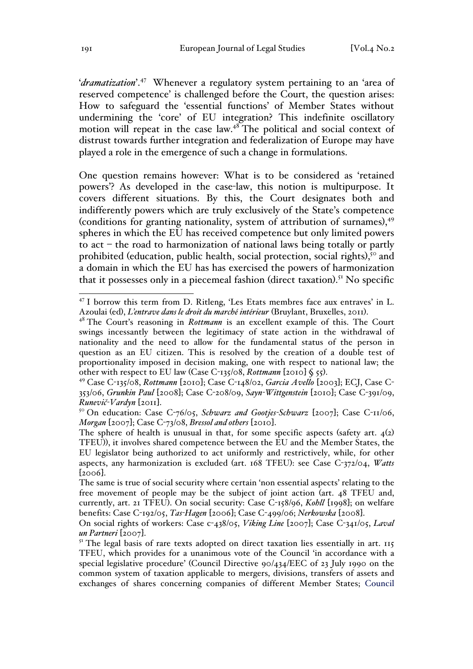'*dramatization*'.47 Whenever a regulatory system pertaining to an 'area of reserved competence' is challenged before the Court, the question arises: How to safeguard the 'essential functions' of Member States without undermining the 'core' of EU integration? This indefinite oscillatory motion will repeat in the case law.<sup>48</sup> The political and social context of distrust towards further integration and federalization of Europe may have played a role in the emergence of such a change in formulations.

One question remains however: What is to be considered as 'retained powers'? As developed in the case-law, this notion is multipurpose. It covers different situations. By this, the Court designates both and indifferently powers which are truly exclusively of the State's competence (conditions for granting nationality, system of attribution of surnames), 49 spheres in which the EU has received competence but only limited powers to act – the road to harmonization of national laws being totally or partly prohibited (education, public health, social protection, social rights),<sup>50</sup> and a domain in which the EU has has exercised the powers of harmonization that it possesses only in a piecemeal fashion (direct taxation). <sup>51</sup> No specific

 <sup>47</sup> I borrow this term from D. Ritleng, 'Les Etats membres face aux entraves' in L. Azoulai (ed), *L'entrave dans le droit du marché intérieur* (Bruylant, Bruxelles, 2011). <sup>48</sup> The Court's reasoning in *Rottmann* is an excellent example of this. The Court

swings incessantly between the legitimacy of state action in the withdrawal of nationality and the need to allow for the fundamental status of the person in question as an EU citizen. This is resolved by the creation of a double test of proportionality imposed in decision making, one with respect to national law; the other with respect to EU law (Case C-135/08, *Rottmann* [2010] § 55). <sup>49</sup> Case C-135/08, *Rottmann* [2010]; Case C-148/02, *Garcia Avello* [2003]; ECJ, Case C-

<sup>353/06,</sup> *Grunkin Paul* [2008]; Case C-208/09, *Sayn-Wittgenstein* [2010]; Case C-391/09, *Runevič-Vardyn* [2011]. <sup>50</sup> On education: Case C-76/05, *Schwarz and Gootjes-Schwarz* [2007]; Case C-11/06,

*Morgan* [2007]; Case C-73/08, *Bressol and others* [2010].

The sphere of health is unusual in that, for some specific aspects (safety art.  $4(2)$ ) TFEU)), it involves shared competence between the EU and the Member States, the EU legislator being authorized to act uniformly and restrictively, while, for other aspects, any harmonization is excluded (art. 168 TFEU): see Case C-372/04, *Watts* [2006].

The same is true of social security where certain 'non essential aspects' relating to the free movement of people may be the subject of joint action (art. 48 TFEU and, currently, art. 21 TFEU). On social security: Case C-158/96, *Kohll* [1998]; on welfare benefits: Case C-192/05, *Tas-Hagen* [2006]; Case C-499/06; *Nerkowska* [2008].

On social rights of workers: Case c-438/05, *Viking Line* [2007]; Case C-341/05, *Laval un Partneri* [2007].<br><sup>51</sup> The legal basis of rare texts adopted on direct taxation lies essentially in art. 115

TFEU, which provides for a unanimous vote of the Council 'in accordance with a special legislative procedure' (Council Directive 90/434/EEC of 23 July 1990 on the common system of taxation applicable to mergers, divisions, transfers of assets and exchanges of shares concerning companies of different Member States; Council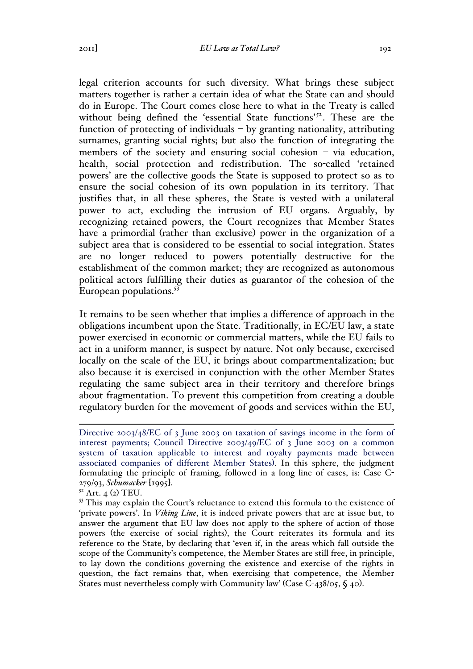legal criterion accounts for such diversity. What brings these subject matters together is rather a certain idea of what the State can and should do in Europe. The Court comes close here to what in the Treaty is called without being defined the 'essential State functions'<sup>52</sup>. These are the function of protecting of individuals – by granting nationality, attributing surnames, granting social rights; but also the function of integrating the members of the society and ensuring social cohesion – via education, health, social protection and redistribution. The so-called 'retained powers' are the collective goods the State is supposed to protect so as to ensure the social cohesion of its own population in its territory. That justifies that, in all these spheres, the State is vested with a unilateral power to act, excluding the intrusion of EU organs. Arguably, by recognizing retained powers, the Court recognizes that Member States have a primordial (rather than exclusive) power in the organization of a subject area that is considered to be essential to social integration. States are no longer reduced to powers potentially destructive for the establishment of the common market; they are recognized as autonomous political actors fulfilling their duties as guarantor of the cohesion of the European populations.<sup>53</sup>

It remains to be seen whether that implies a difference of approach in the obligations incumbent upon the State. Traditionally, in EC/EU law, a state power exercised in economic or commercial matters, while the EU fails to act in a uniform manner, is suspect by nature. Not only because, exercised locally on the scale of the EU, it brings about compartmentalization; but also because it is exercised in conjunction with the other Member States regulating the same subject area in their territory and therefore brings about fragmentation. To prevent this competition from creating a double regulatory burden for the movement of goods and services within the EU,

Directive 2003/48/EC of 3 June 2003 on taxation of savings income in the form of interest payments; Council Directive 2003/49/EC of 3 June 2003 on a common system of taxation applicable to interest and royalty payments made between associated companies of different Member States). In this sphere, the judgment formulating the principle of framing, followed in a long line of cases, is: Case C-279/93, *Schumacker* [1995]. <sup>52</sup> Art. 4 (2) TEU.

<sup>&</sup>lt;sup>53</sup> This may explain the Court's reluctance to extend this formula to the existence of 'private powers'. In *Viking Line*, it is indeed private powers that are at issue but, to answer the argument that EU law does not apply to the sphere of action of those powers (the exercise of social rights), the Court reiterates its formula and its reference to the State, by declaring that 'even if, in the areas which fall outside the scope of the Community's competence, the Member States are still free, in principle, to lay down the conditions governing the existence and exercise of the rights in question, the fact remains that, when exercising that competence, the Member States must nevertheless comply with Community law' (Case  $C$ -438/05,  $\zeta$  40).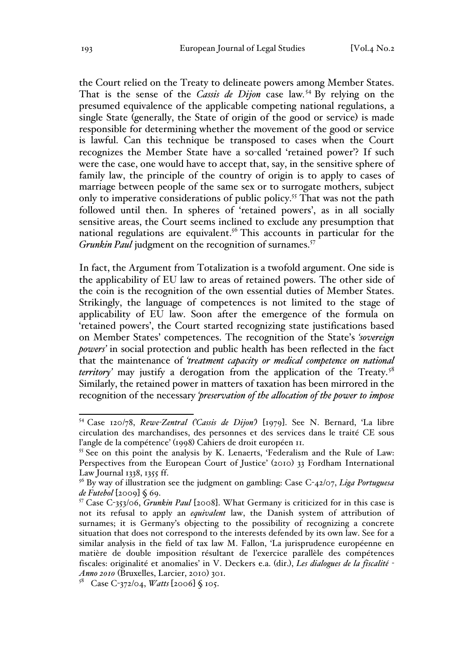the Court relied on the Treaty to delineate powers among Member States. That is the sense of the *Cassis de Dijon* case law*.* <sup>54</sup> By relying on the presumed equivalence of the applicable competing national regulations, a single State (generally, the State of origin of the good or service) is made responsible for determining whether the movement of the good or service is lawful. Can this technique be transposed to cases when the Court recognizes the Member State have a so-called 'retained power'? If such were the case, one would have to accept that, say, in the sensitive sphere of family law, the principle of the country of origin is to apply to cases of marriage between people of the same sex or to surrogate mothers, subject only to imperative considerations of public policy.<sup>55</sup> That was not the path followed until then. In spheres of 'retained powers', as in all socially sensitive areas, the Court seems inclined to exclude any presumption that national regulations are equivalent.<sup>56</sup> This accounts in particular for the *Grunkin Paul* judgment on the recognition of surnames.<sup>57</sup>

In fact, the Argument from Totalization is a twofold argument. One side is the applicability of EU law to areas of retained powers. The other side of the coin is the recognition of the own essential duties of Member States. Strikingly, the language of competences is not limited to the stage of applicability of EU law. Soon after the emergence of the formula on 'retained powers', the Court started recognizing state justifications based on Member States' competences. The recognition of the State's *'sovereign powers'* in social protection and public health has been reflected in the fact that the maintenance of *'treatment capacity or medical competence on national territory*' may justify a derogation from the application of the Treaty.<sup>58</sup> Similarly, the retained power in matters of taxation has been mirrored in the recognition of the necessary *'preservation of the allocation of the power to impose* 

 <sup>54</sup> Case 120/78, *Rewe-Zentral ('Cassis de Dijon')* [1979]. See N. Bernard, 'La libre circulation des marchandises, des personnes et des services dans le traité CE sous l'angle de la compétence' (1998) Cahiers de droit européen 11.

<sup>&</sup>lt;sup>55</sup> See on this point the analysis by K. Lenaerts, 'Federalism and the Rule of Law: Perspectives from the European Court of Justice' (2010) 33 Fordham International Law Journal 1338, 1355 ff.

<sup>56</sup> By way of illustration see the judgment on gambling: Case C-42/07, *Liga Portuguesa de Futebol* [2009] § 69.

<sup>57</sup> Case C-353/06, *Grunkin Paul* [2008]. What Germany is criticized for in this case is not its refusal to apply an *equivalent* law, the Danish system of attribution of surnames; it is Germany's objecting to the possibility of recognizing a concrete situation that does not correspond to the interests defended by its own law. See for a similar analysis in the field of tax law M. Fallon, 'La jurisprudence européenne en matière de double imposition résultant de l'exercice parallèle des compétences fiscales: originalité et anomalies' in V. Deckers e.a. (dir.), *Les dialogues de la fiscalité - Anno 2010* (Bruxelles, Larcier, 2010) 301.

<sup>58</sup> Case C-372/04, *Watts* [2006] § 105.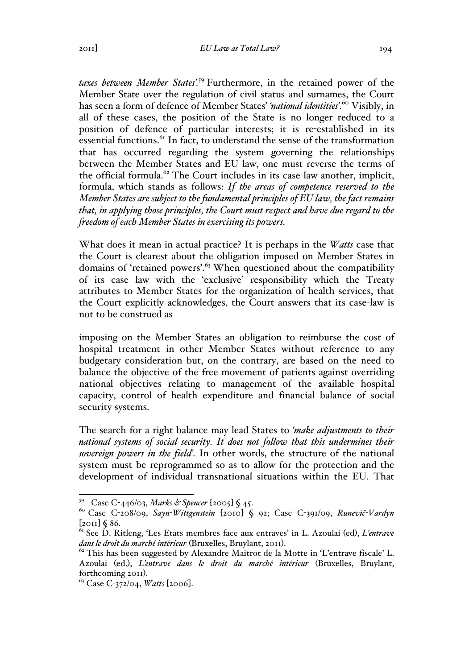*taxes between Member States'.*<sup>59</sup> Furthermore, in the retained power of the Member State over the regulation of civil status and surnames, the Court has seen a form of defence of Member States' *'national identities'*. <sup>60</sup> Visibly, in all of these cases, the position of the State is no longer reduced to a position of defence of particular interests; it is re-established in its essential functions.<sup>61</sup> In fact, to understand the sense of the transformation that has occurred regarding the system governing the relationships between the Member States and EU law, one must reverse the terms of the official formula.<sup>62</sup> The Court includes in its case-law another, implicit, formula, which stands as follows: *If the areas of competence reserved to the Member States are subject to the fundamental principles of EU law, the fact remains that, in applying those principles, the Court must respect and have due regard to the freedom of each Member States in exercising its powers.*

What does it mean in actual practice? It is perhaps in the *Watts* case that the Court is clearest about the obligation imposed on Member States in domains of 'retained powers'.<sup>63</sup> When questioned about the compatibility of its case law with the 'exclusive' responsibility which the Treaty attributes to Member States for the organization of health services, that the Court explicitly acknowledges, the Court answers that its case-law is not to be construed as

imposing on the Member States an obligation to reimburse the cost of hospital treatment in other Member States without reference to any budgetary consideration but, on the contrary, are based on the need to balance the objective of the free movement of patients against overriding national objectives relating to management of the available hospital capacity, control of health expenditure and financial balance of social security systems.

The search for a right balance may lead States to *'make adjustments to their national systems of social security. It does not follow that this undermines their sovereign powers in the field'*. In other words, the structure of the national system must be reprogrammed so as to allow for the protection and the development of individual transnational situations within the EU. That

<sup>59</sup> Case C-446/03, *Marks & Spencer* [2005] § 45. 60 Case C-208/09, *Sayn-Wittgenstein* [2010] § 92; Case C-391/09, *Runevič-Vardyn*

<sup>[</sup>2011] § 86. <sup>61</sup> See D. Ritleng, 'Les Etats membres face aux entraves' in L. Azoulai (ed), *L'entrave dans le droit du marché intérieur* (Bruxelles, Bruylant, 2011). <sup>62</sup> This has been suggested by Alexandre Maitrot de la Motte in 'L'entrave fiscale' L.

Azoulai (ed.), *L'entrave dans le droit du marché intérieur* (Bruxelles, Bruylant, forthcoming 2011). <sup>63</sup> Case C-372/04, *Watts* [2006].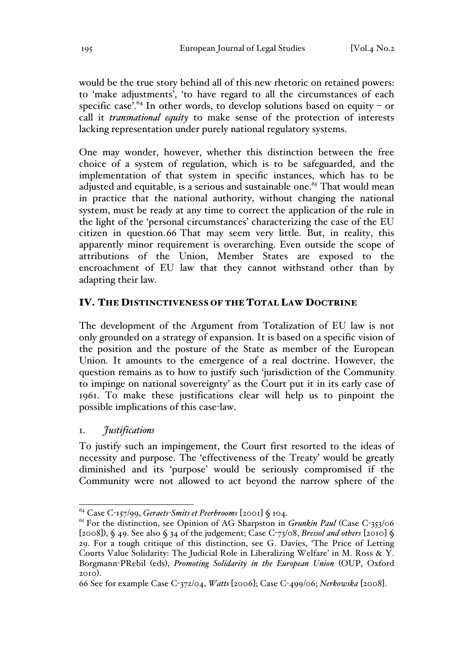would be the true story behind all of this new rhetoric on retained powers: to 'make adjustments', 'to have regard to all the circumstances of each specific case'.<sup>64</sup> In other words, to develop solutions based on equity – or call it *transnational equity* to make sense of the protection of interests lacking representation under purely national regulatory systems.

One may wonder, however, whether this distinction between the free choice of a system of regulation, which is to be safeguarded, and the implementation of that system in specific instances, which has to be adjusted and equitable, is a serious and sustainable one.<sup>65</sup> That would mean in practice that the national authority, without changing the national system, must be ready at any time to correct the application of the rule in the light of the 'personal circumstances' characterizing the case of the EU citizen in question.66 That may seem very little. But, in reality, this apparently minor requirement is overarching. Even outside the scope of attributions of the Union, Member States are exposed to the encroachment of EU law that they cannot withstand other than by adapting their law.

#### IV. THE DISTINCTIVENESS OF THE TOTAL LAW DOCTRINE

The development of the Argument from Totalization of EU law is not only grounded on a strategy of expansion. It is based on a specific vision of the position and the posture of the State as member of the European Union. It amounts to the emergence of a real doctrine. However, the question remains as to how to justify such 'jurisdiction of the Community to impinge on national sovereignty' as the Court put it in its early case of 1961. To make these justifications clear will help us to pinpoint the possible implications of this case-law.

#### 1. *Justifications*

To justify such an impingement, the Court first resorted to the ideas of necessity and purpose. The 'effectiveness of the Treaty' would be greatly diminished and its 'purpose' would be seriously compromised if the Community were not allowed to act beyond the narrow sphere of the

<sup>64</sup> Case C-157/99, *Geraets-Smits et Peerbrooms* [2001] § 104. <sup>65</sup> For the distinction, see Opinion of AG Sharpston in *Grunkin Paul* (Case C-353/06 [2008]), § 49. See also § 34 of the judgement; Case C-73/08, *Bressol and others* [2010] § 29. For a tough critique of this distinction, see G. Davies, 'The Price of Letting Courts Value Solidarity: The Judicial Role in Liberalizing Welfare' in M. Ross & Y. Borgmann-PRebil (eds), *Promoting Solidarity in the European Union* (OUP, Oxford 2010).

<sup>66</sup> See for example Case C-372/04, *Watts* [2006]; Case C-499/06; *Nerkowska* [2008].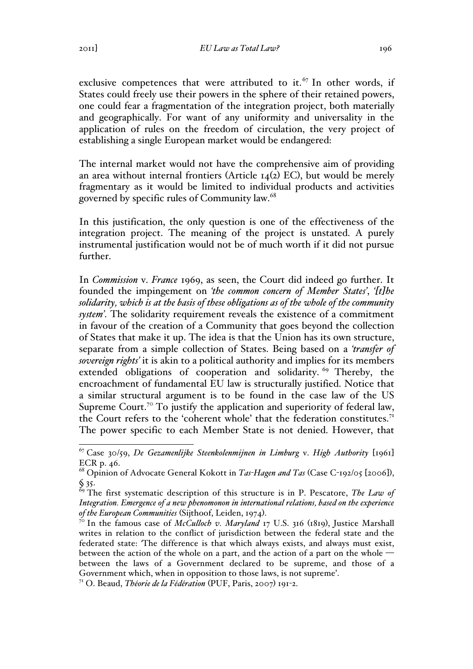2011] *EU Law as Total Law?* 196

exclusive competences that were attributed to it.<sup>67</sup> In other words, if States could freely use their powers in the sphere of their retained powers, one could fear a fragmentation of the integration project, both materially and geographically. For want of any uniformity and universality in the application of rules on the freedom of circulation, the very project of establishing a single European market would be endangered:

The internal market would not have the comprehensive aim of providing an area without internal frontiers (Article  $I_4(2)$  EC), but would be merely fragmentary as it would be limited to individual products and activities governed by specific rules of Community law.<sup>68</sup>

In this justification, the only question is one of the effectiveness of the integration project. The meaning of the project is unstated. A purely instrumental justification would not be of much worth if it did not pursue further.

In *Commission* v. *France* 1969, as seen, the Court did indeed go further. It founded the impingement on *'the common concern of Member States'*, *'[t]he solidarity, which is at the basis of these obligations as of the whole of the community system'*. The solidarity requirement reveals the existence of a commitment in favour of the creation of a Community that goes beyond the collection of States that make it up. The idea is that the Union has its own structure, separate from a simple collection of States. Being based on a *'transfer of sovereign rights'* it is akin to a political authority and implies for its members extended obligations of cooperation and solidarity.<sup>69</sup> Thereby, the encroachment of fundamental EU law is structurally justified. Notice that a similar structural argument is to be found in the case law of the US Supreme Court.<sup>70</sup> To justify the application and superiority of federal law, the Court refers to the 'coherent whole' that the federation constitutes.<sup>71</sup> The power specific to each Member State is not denied. However, that

 <sup>67</sup> Case 30/59, *De Gezamenlijke Steenkolenmijnen in Limburg* v. *High Authority* [1961] ECR p. 46.

<sup>68</sup> Opinion of Advocate General Kokott in *Tas-Hagen and Tas* (Case C-192/05 [2006]), § 35.

<sup>69</sup> The first systematic description of this structure is in P. Pescatore, *The Law of Integration. Emergence of a new phenomonon in international relations, based on the experience* 

*of the European Communities* (Sijthoof, Leiden, 1974).<br><sup>70</sup> In the famous case of *McCulloch v. Maryland* 17 U.S. 316 (1819), Justice Marshall writes in relation to the conflict of jurisdiction between the federal state and the federated state: *'*The difference is that which always exists, and always must exist, between the action of the whole on a part, and the action of a part on the whole between the laws of a Government declared to be supreme, and those of a Government which, when in opposition to those laws, is not supreme'.

<sup>71</sup> O. Beaud, *Théorie de la Fédération* (PUF, Paris, 2007) 191-2.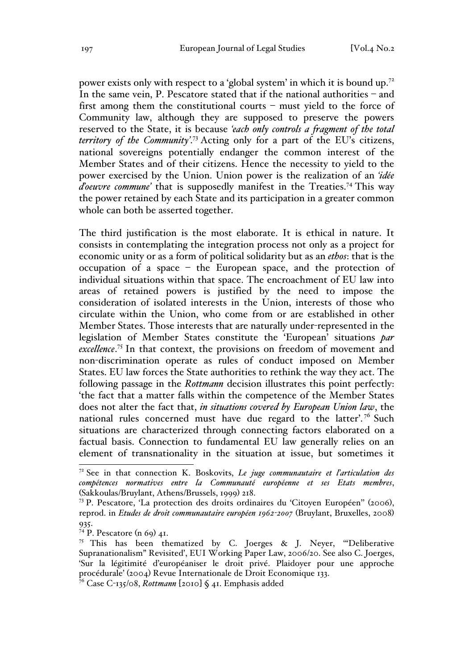power exists only with respect to a 'global system' in which it is bound up.<sup>72</sup> In the same vein, P. Pescatore stated that if the national authorities – and first among them the constitutional courts – must yield to the force of Community law, although they are supposed to preserve the powers reserved to the State, it is because *'each only controls a fragment of the total territory of the Community'*. <sup>73</sup> Acting only for a part of the EU's citizens, national sovereigns potentially endanger the common interest of the Member States and of their citizens. Hence the necessity to yield to the power exercised by the Union. Union power is the realization of an *'idée d'oeuvre commune*' that is supposedly manifest in the Treaties.<sup>74</sup> This way the power retained by each State and its participation in a greater common whole can both be asserted together.

The third justification is the most elaborate. It is ethical in nature. It consists in contemplating the integration process not only as a project for economic unity or as a form of political solidarity but as an *ethos*: that is the occupation of a space – the European space, and the protection of individual situations within that space. The encroachment of EU law into areas of retained powers is justified by the need to impose the consideration of isolated interests in the Union, interests of those who circulate within the Union, who come from or are established in other Member States. Those interests that are naturally under-represented in the legislation of Member States constitute the 'European' situations *par*  excellence.<sup>75</sup> In that context, the provisions on freedom of movement and non-discrimination operate as rules of conduct imposed on Member States. EU law forces the State authorities to rethink the way they act. The following passage in the *Rottmann* decision illustrates this point perfectly: 'the fact that a matter falls within the competence of the Member States does not alter the fact that, *in situations covered by European Union law*, the national rules concerned must have due regard to the latter'.<sup>76</sup> Such situations are characterized through connecting factors elaborated on a factual basis. Connection to fundamental EU law generally relies on an element of transnationality in the situation at issue, but sometimes it

 <sup>72</sup> See in that connection K. Boskovits, *Le juge communautaire et l'articulation des compétences normatives entre la Communauté européenne et ses Etats membres*, (Sakkoulas/Bruylant, Athens/Brussels, 1999) 218.

<sup>73</sup> P. Pescatore, 'La protection des droits ordinaires du 'Citoyen Européen'' (2006), reprod. in *Etudes de droit communautaire européen 1962-2007* (Bruylant, Bruxelles, 2008) 935.

<sup>&</sup>lt;sup>74</sup> P. Pescatore (n 69)  $4I$ .

<sup>&</sup>lt;sup>75</sup> This has been thematized by C. Joerges & J. Neyer, "Deliberative Supranationalism" Revisited', EUI Working Paper Law, 2006/20. See also C. Joerges, 'Sur la légitimité d'européaniser le droit privé. Plaidoyer pour une approche procédurale' (2004) Revue Internationale de Droit Economique 133.

<sup>76</sup> Case C-135/08, *Rottmann* [2010] § 41. Emphasis added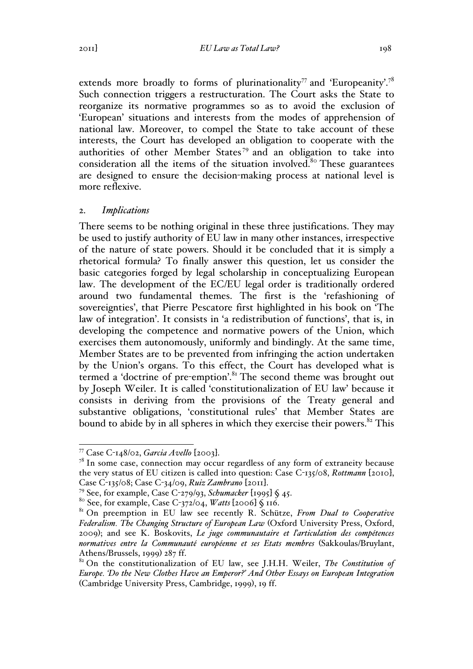extends more broadly to forms of plurinationality<sup>77</sup> and 'Europeanity'.<sup>78</sup> Such connection triggers a restructuration. The Court asks the State to reorganize its normative programmes so as to avoid the exclusion of 'European' situations and interests from the modes of apprehension of national law. Moreover, to compel the State to take account of these interests, the Court has developed an obligation to cooperate with the authorities of other Member States<sup>79</sup> and an obligation to take into consideration all the items of the situation involved.<sup>80</sup> These guarantees are designed to ensure the decision-making process at national level is more reflexive.

#### 2. *Implications*

There seems to be nothing original in these three justifications. They may be used to justify authority of EU law in many other instances, irrespective of the nature of state powers. Should it be concluded that it is simply a rhetorical formula? To finally answer this question, let us consider the basic categories forged by legal scholarship in conceptualizing European law. The development of the EC/EU legal order is traditionally ordered around two fundamental themes. The first is the 'refashioning of sovereignties', that Pierre Pescatore first highlighted in his book on 'The law of integration'. It consists in 'a redistribution of functions', that is, in developing the competence and normative powers of the Union, which exercises them autonomously, uniformly and bindingly. At the same time, Member States are to be prevented from infringing the action undertaken by the Union's organs. To this effect, the Court has developed what is termed a 'doctrine of pre-emption'.<sup>81</sup> The second theme was brought out by Joseph Weiler. It is called 'constitutionalization of EU law' because it consists in deriving from the provisions of the Treaty general and substantive obligations, 'constitutional rules' that Member States are bound to abide by in all spheres in which they exercise their powers. $82$  This

<sup>77</sup> Case C-148/02, *Garcia Avello* [2003]. <sup>78</sup> In some case, connection may occur regardless of any form of extraneity because the very status of EU citizen is called into question: Case C-135/08, *Rottmann* [2010],

Case C-135/08; Case C-34/09, Ruiz Zambrano [2011].<br><sup>79</sup> See, for example, Case C-279/93, Schumacker [1995] § 45.<br><sup>80</sup> See, for example, Case C-372/04, *Watts* [2006] § 116.<br><sup>81</sup> On preemption in EU law see recently R. Sch *Federalism. The Changing Structure of European Law* (Oxford University Press, Oxford, 2009); and see K. Boskovits, *Le juge communautaire et l'articulation des compétences normatives entre la Communauté européenne et ses Etats membres* (Sakkoulas/Bruylant, Athens/Brussels, 1999) 287 ff.

<sup>82</sup> On the constitutionalization of EU law, see J.H.H. Weiler, *The Constitution of Europe. 'Do the New Clothes Have an Emperor?' And Other Essays on European Integration* (Cambridge University Press, Cambridge, 1999), 19 ff.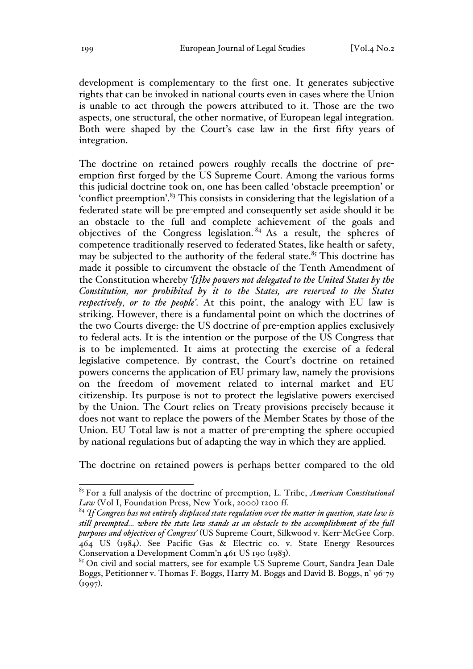development is complementary to the first one. It generates subjective rights that can be invoked in national courts even in cases where the Union is unable to act through the powers attributed to it. Those are the two aspects, one structural, the other normative, of European legal integration. Both were shaped by the Court's case law in the first fifty years of integration.

The doctrine on retained powers roughly recalls the doctrine of preemption first forged by the US Supreme Court. Among the various forms this judicial doctrine took on, one has been called 'obstacle preemption' or 'conflict preemption'.<sup>83</sup> This consists in considering that the legislation of a federated state will be pre-empted and consequently set aside should it be an obstacle to the full and complete achievement of the goals and objectives of the Congress legislation.  $84$  As a result, the spheres of competence traditionally reserved to federated States, like health or safety, may be subjected to the authority of the federal state.<sup>85</sup> This doctrine has made it possible to circumvent the obstacle of the Tenth Amendment of the Constitution whereby *'[t]he powers not delegated to the United States by the Constitution, nor prohibited by it to the States, are reserved to the States respectively, or to the people'*. At this point, the analogy with EU law is striking. However, there is a fundamental point on which the doctrines of the two Courts diverge: the US doctrine of pre-emption applies exclusively to federal acts. It is the intention or the purpose of the US Congress that is to be implemented. It aims at protecting the exercise of a federal legislative competence. By contrast, the Court's doctrine on retained powers concerns the application of EU primary law, namely the provisions on the freedom of movement related to internal market and EU citizenship. Its purpose is not to protect the legislative powers exercised by the Union. The Court relies on Treaty provisions precisely because it does not want to replace the powers of the Member States by those of the Union. EU Total law is not a matter of pre-empting the sphere occupied by national regulations but of adapting the way in which they are applied.

The doctrine on retained powers is perhaps better compared to the old

 <sup>83</sup> For a full analysis of the doctrine of preemption, L. Tribe, *American Constitutional Law* (Vol I, Foundation Press, New York, 2000) 1200 ff.

<sup>84</sup> *'If Congress has not entirely displaced state regulation over the matter in question, state law is still preempted… where the state law stands as an obstacle to the accomplishment of the full purposes and objectives of Congress'* (US Supreme Court, Silkwood v. Kerr-McGee Corp.  $464$  US (1984). See Pacific Gas & Electric co. v. State Energy Resources Conservation a Development Comm'n 461 US 190 (1983).<br><sup>85</sup> On civil and social matters, see for example US Supreme Court, Sandra Jean Dale

Boggs, Petitionner v. Thomas F. Boggs, Harry M. Boggs and David B. Boggs, n° 96-79  $(1997)$ .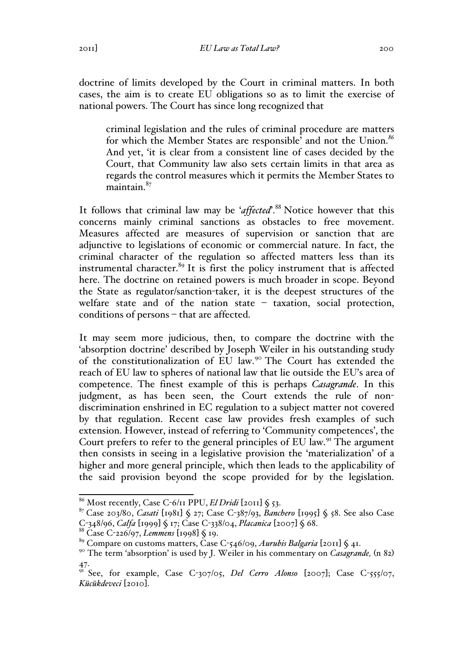doctrine of limits developed by the Court in criminal matters. In both cases, the aim is to create EU obligations so as to limit the exercise of national powers. The Court has since long recognized that

criminal legislation and the rules of criminal procedure are matters for which the Member States are responsible' and not the Union.*<sup>86</sup>* And yet, 'it is clear from a consistent line of cases decided by the Court, that Community law also sets certain limits in that area as regards the control measures which it permits the Member States to maintain.<sup>87</sup>

It follows that criminal law may be '*affected*'.88 Notice however that this concerns mainly criminal sanctions as obstacles to free movement. Measures affected are measures of supervision or sanction that are adjunctive to legislations of economic or commercial nature. In fact, the criminal character of the regulation so affected matters less than its instrumental character.<sup>89</sup> It is first the policy instrument that is affected here. The doctrine on retained powers is much broader in scope. Beyond the State as regulator/sanction-taker, it is the deepest structures of the welfare state and of the nation state – taxation, social protection, conditions of persons – that are affected.

It may seem more judicious, then, to compare the doctrine with the 'absorption doctrine' described by Joseph Weiler in his outstanding study of the constitutionalization of EU law.<sup>90</sup> The Court has extended the reach of EU law to spheres of national law that lie outside the EU's area of competence. The finest example of this is perhaps *Casagrande*. In this judgment, as has been seen, the Court extends the rule of nondiscrimination enshrined in EC regulation to a subject matter not covered by that regulation. Recent case law provides fresh examples of such extension. However, instead of referring to 'Community competences', the Court prefers to refer to the general principles of EU law.<sup>91</sup> The argument then consists in seeing in a legislative provision the 'materialization' of a higher and more general principle, which then leads to the applicability of the said provision beyond the scope provided for by the legislation.

<sup>86</sup> Most recently, Case C-6/11 PPU, *El Dridi* [2011] § 53. <sup>87</sup> Case 203/80, *Casati* [1981] § 27; Case C-387/93, *Banchero* [1995] § 58. See also Case C-348/96, *Calfa* [1999] § 17; Case C-338/04, *Placanica* [2007] § 68.<br><sup>88</sup> Case C-226/97, *Lemmens* [1998] § 19.<br><sup>89</sup> Compare on customs matters, Case C-546/09, *Aurubis Balgaria* [2011] § 41.

<sup>90</sup> The term 'absorption' is used by J. Weiler in his commentary on *Casagrande,* (n 82) 47.

<sup>&</sup>lt;sup>91</sup> See, for example, Case C-307/05, *Del Cerro Alonso* [2007]; Case C-555/07, *Kücükdeveci* [2010].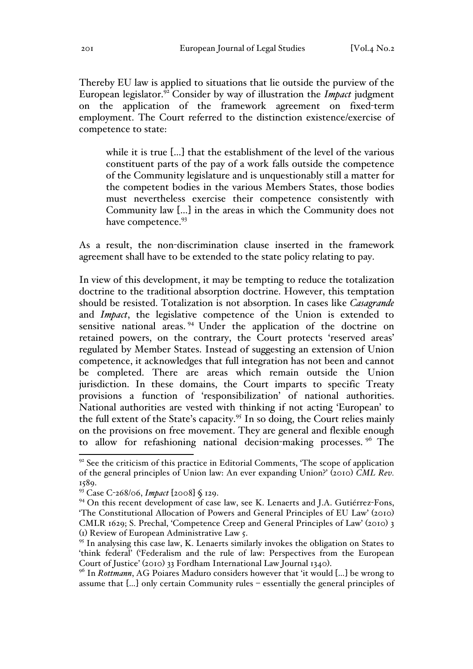Thereby EU law is applied to situations that lie outside the purview of the European legislator.92 Consider by way of illustration the *Impact* judgment on the application of the framework agreement on fixed-term employment. The Court referred to the distinction existence/exercise of competence to state:

while it is true […] that the establishment of the level of the various constituent parts of the pay of a work falls outside the competence of the Community legislature and is unquestionably still a matter for the competent bodies in the various Members States, those bodies must nevertheless exercise their competence consistently with Community law […] in the areas in which the Community does not have competence.<sup>93</sup>

As a result, the non-discrimination clause inserted in the framework agreement shall have to be extended to the state policy relating to pay.

In view of this development, it may be tempting to reduce the totalization doctrine to the traditional absorption doctrine. However, this temptation should be resisted. Totalization is not absorption. In cases like *Casagrande*  and *Impact*, the legislative competence of the Union is extended to sensitive national areas. <sup>94</sup> Under the application of the doctrine on retained powers, on the contrary, the Court protects 'reserved areas' regulated by Member States. Instead of suggesting an extension of Union competence, it acknowledges that full integration has not been and cannot be completed. There are areas which remain outside the Union jurisdiction. In these domains, the Court imparts to specific Treaty provisions a function of 'responsibilization' of national authorities. National authorities are vested with thinking if not acting 'European' to the full extent of the State's capacity.<sup>95</sup> In so doing, the Court relies mainly on the provisions on free movement. They are general and flexible enough to allow for refashioning national decision-making processes. <sup>96</sup> The

 $92$  See the criticism of this practice in Editorial Comments, 'The scope of application of the general principles of Union law: An ever expanding Union?' (2010) *CML Rev.* 1589.

<sup>93</sup> Case C-268/06, *Impact* [2008] § 129.

<sup>&</sup>lt;sup>94</sup> On this recent development of case law, see K. Lenaerts and J.A. Gutiérrez-Fons, 'The Constitutional Allocation of Powers and General Principles of EU Law' (2010) CMLR 1629; S. Prechal, 'Competence Creep and General Principles of Law' (2010) 3 (1) Review of European Administrative Law 5.

<sup>&</sup>lt;sup>95</sup> In analysing this case law, K. Lenaerts similarly invokes the obligation on States to 'think federal' ('Federalism and the rule of law: Perspectives from the European Court of Justice' (2010) 33 Fordham International Law Journal 1340).

<sup>&</sup>lt;sup>96</sup> In *Rottmann*, AG Poiares Maduro considers however that 'it would [...] be wrong to assume that […] only certain Community rules – essentially the general principles of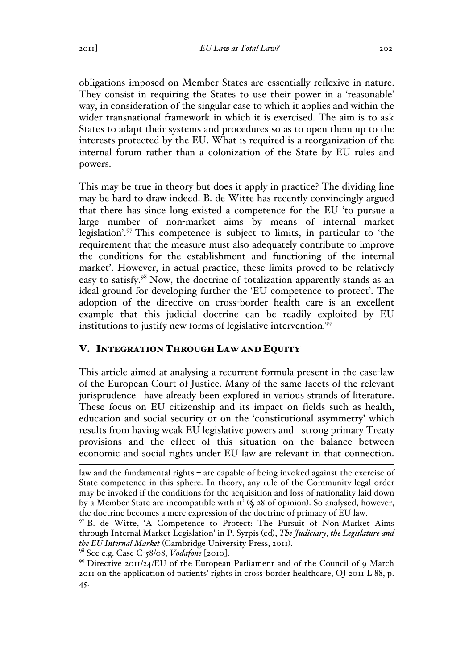obligations imposed on Member States are essentially reflexive in nature. They consist in requiring the States to use their power in a 'reasonable' way, in consideration of the singular case to which it applies and within the wider transnational framework in which it is exercised. The aim is to ask States to adapt their systems and procedures so as to open them up to the interests protected by the EU. What is required is a reorganization of the internal forum rather than a colonization of the State by EU rules and powers.

This may be true in theory but does it apply in practice? The dividing line may be hard to draw indeed. B. de Witte has recently convincingly argued that there has since long existed a competence for the EU 'to pursue a large number of non-market aims by means of internal market legislation'.<sup>97</sup> This competence is subject to limits, in particular to 'the requirement that the measure must also adequately contribute to improve the conditions for the establishment and functioning of the internal market'. However, in actual practice, these limits proved to be relatively easy to satisfy.<sup>98</sup> Now, the doctrine of totalization apparently stands as an ideal ground for developing further the 'EU competence to protect'. The adoption of the directive on cross-border health care is an excellent example that this judicial doctrine can be readily exploited by EU institutions to justify new forms of legislative intervention.<sup>99</sup>

# V. INTEGRATION THROUGH LAW AND EQUITY

This article aimed at analysing a recurrent formula present in the case-law of the European Court of Justice. Many of the same facets of the relevant jurisprudence have already been explored in various strands of literature. These focus on EU citizenship and its impact on fields such as health, education and social security or on the 'constitutional asymmetry' which results from having weak EU legislative powers and strong primary Treaty provisions and the effect of this situation on the balance between economic and social rights under EU law are relevant in that connection.

law and the fundamental rights – are capable of being invoked against the exercise of State competence in this sphere. In theory, any rule of the Community legal order may be invoked if the conditions for the acquisition and loss of nationality laid down by a Member State are incompatible with it' (§ 28 of opinion). So analysed, however, the doctrine becomes a mere expression of the doctrine of primacy of EU law.

<sup>97</sup> B. de Witte, 'A Competence to Protect: The Pursuit of Non-Market Aims through Internal Market Legislation' in P. Syrpis (ed), *The Judiciary, the Legislature and the EU Internal Market* (Cambridge University Press, 2011).<br><sup>98</sup> See e.g. Case C-58/08, *Vodafone* [2010].<br><sup>99</sup> Directive 2011/24/EU of the European Parliament and of the Council of 9 March

<sup>2011</sup> on the application of patients' rights in cross-border healthcare, OJ 2011 L 88, p. 45.